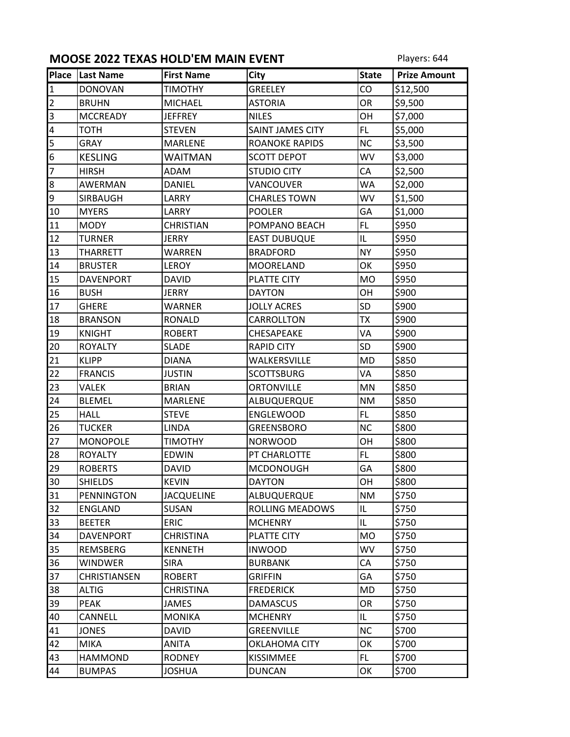## **MOOSE 2022 TEXAS HOLD'EM MAIN EVENT** Players: 644

| <b>Place</b>   | <b>Last Name</b> | <b>First Name</b> | <b>City</b>           | <b>State</b> | <b>Prize Amount</b> |
|----------------|------------------|-------------------|-----------------------|--------------|---------------------|
| 1              | <b>DONOVAN</b>   | <b>TIMOTHY</b>    | <b>GREELEY</b>        | CO           | \$12,500            |
| $\overline{2}$ | <b>BRUHN</b>     | <b>MICHAEL</b>    | <b>ASTORIA</b>        | OR           | \$9,500             |
| 3              | <b>MCCREADY</b>  | <b>JEFFREY</b>    | <b>NILES</b>          | OH           | \$7,000             |
| 4              | <b>TOTH</b>      | <b>STEVEN</b>     | SAINT JAMES CITY      | FL.          | \$5,000             |
| 5              | <b>GRAY</b>      | <b>MARLENE</b>    | <b>ROANOKE RAPIDS</b> | <b>NC</b>    | \$3,500             |
| 6              | <b>KESLING</b>   | <b>WAITMAN</b>    | <b>SCOTT DEPOT</b>    | WV           | \$3,000             |
| 7              | <b>HIRSH</b>     | ADAM              | <b>STUDIO CITY</b>    | CA           | \$2,500             |
| 8              | AWERMAN          | <b>DANIEL</b>     | VANCOUVER             | WA           | \$2,000             |
| 9              | <b>SIRBAUGH</b>  | LARRY             | <b>CHARLES TOWN</b>   | WV           | \$1,500             |
| 10             | <b>MYERS</b>     | LARRY             | <b>POOLER</b>         | GA           | \$1,000             |
| 11             | <b>MODY</b>      | <b>CHRISTIAN</b>  | POMPANO BEACH         | FL.          | \$950               |
| 12             | <b>TURNER</b>    | JERRY             | <b>EAST DUBUQUE</b>   | IL.          | \$950               |
| 13             | <b>THARRETT</b>  | WARREN            | <b>BRADFORD</b>       | <b>NY</b>    | \$950               |
| 14             | <b>BRUSTER</b>   | <b>LEROY</b>      | MOORELAND             | OK           | \$950               |
| 15             | <b>DAVENPORT</b> | <b>DAVID</b>      | <b>PLATTE CITY</b>    | <b>MO</b>    | \$950               |
| 16             | <b>BUSH</b>      | <b>JERRY</b>      | <b>DAYTON</b>         | OH           | \$900               |
| 17             | <b>GHERE</b>     | WARNER            | <b>JOLLY ACRES</b>    | <b>SD</b>    | \$900               |
| 18             | <b>BRANSON</b>   | <b>RONALD</b>     | CARROLLTON            | <b>ΤX</b>    | \$900               |
| 19             | <b>KNIGHT</b>    | <b>ROBERT</b>     | CHESAPEAKE            | VA           | \$900               |
| 20             | <b>ROYALTY</b>   | <b>SLADE</b>      | <b>RAPID CITY</b>     | <b>SD</b>    | \$900               |
| 21             | <b>KLIPP</b>     | <b>DIANA</b>      | WALKERSVILLE          | <b>MD</b>    | \$850               |
| 22             | <b>FRANCIS</b>   | <b>JUSTIN</b>     | <b>SCOTTSBURG</b>     | VA           | \$850               |
| 23             | <b>VALEK</b>     | <b>BRIAN</b>      | <b>ORTONVILLE</b>     | MN           | \$850               |
| 24             | <b>BLEMEL</b>    | <b>MARLENE</b>    | ALBUQUERQUE           | <b>NM</b>    | \$850               |
| 25             | <b>HALL</b>      | <b>STEVE</b>      | ENGLEWOOD             | FL.          | \$850               |
| 26             | <b>TUCKER</b>    | <b>LINDA</b>      | <b>GREENSBORO</b>     | <b>NC</b>    | \$800               |
| 27             | MONOPOLE         | <b>TIMOTHY</b>    | <b>NORWOOD</b>        | OH           | \$800               |
| 28             | <b>ROYALTY</b>   | <b>EDWIN</b>      | PT CHARLOTTE          | FL           | \$800               |
| 29             | <b>ROBERTS</b>   | <b>DAVID</b>      | <b>MCDONOUGH</b>      | GA           | \$800               |
| 30             | <b>SHIELDS</b>   | <b>KEVIN</b>      | <b>DAYTON</b>         | OH           | \$800               |
| 31             | PENNINGTON       | <b>JACQUELINE</b> | ALBUQUERQUE           | NM           | \$750               |
| 32             | <b>ENGLAND</b>   | <b>SUSAN</b>      | ROLLING MEADOWS       | IL.          | \$750               |
| 33             | <b>BEETER</b>    | <b>ERIC</b>       | <b>MCHENRY</b>        | IL.          | \$750               |
| 34             | <b>DAVENPORT</b> | <b>CHRISTINA</b>  | PLATTE CITY           | MO           | \$750               |
| 35             | REMSBERG         | <b>KENNETH</b>    | <b>INWOOD</b>         | WV           | \$750               |
| 36             | <b>WINDWER</b>   | <b>SIRA</b>       | <b>BURBANK</b>        | CA           | \$750               |
| 37             | CHRISTIANSEN     | <b>ROBERT</b>     | <b>GRIFFIN</b>        | GA           | \$750               |
| 38             | <b>ALTIG</b>     | <b>CHRISTINA</b>  | <b>FREDERICK</b>      | MD           | \$750               |
| 39             | <b>PEAK</b>      | JAMES             | <b>DAMASCUS</b>       | OR           | \$750               |
| 40             | CANNELL          | <b>MONIKA</b>     | <b>MCHENRY</b>        | IL.          | \$750               |
| 41             | <b>JONES</b>     | <b>DAVID</b>      | <b>GREENVILLE</b>     | <b>NC</b>    | \$700               |
| 42             | <b>MIKA</b>      | <b>ANITA</b>      | OKLAHOMA CITY         | OK           | \$700               |
| 43             | <b>HAMMOND</b>   | <b>RODNEY</b>     | <b>KISSIMMEE</b>      | FL.          | \$700               |
| 44             | <b>BUMPAS</b>    | <b>JOSHUA</b>     | <b>DUNCAN</b>         | OK           | \$700               |